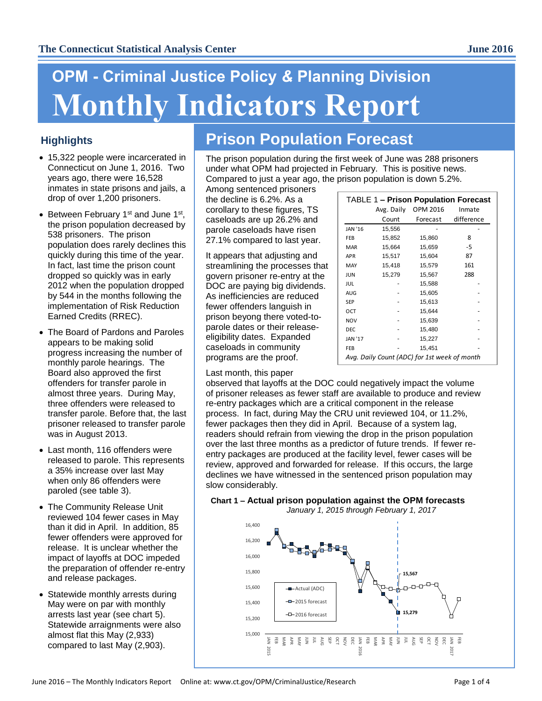# **OPM - Criminal Justice Policy** *&* **Planning Division Monthly Indicators Report**

# **Highlights**

- 15,322 people were incarcerated in Connecticut on June 1, 2016. Two years ago, there were 16,528 inmates in state prisons and jails, a drop of over 1,200 prisoners.
- Between February 1<sup>st</sup> and June 1<sup>st</sup>, the prison population decreased by 538 prisoners. The prison population does rarely declines this quickly during this time of the year. In fact, last time the prison count dropped so quickly was in early 2012 when the population dropped by 544 in the months following the implementation of Risk Reduction Earned Credits (RREC).
- The Board of Pardons and Paroles appears to be making solid progress increasing the number of monthly parole hearings. The Board also approved the first offenders for transfer parole in almost three years. During May, three offenders were released to transfer parole. Before that, the last prisoner released to transfer parole was in August 2013.
- Last month, 116 offenders were released to parole. This represents a 35% increase over last May when only 86 offenders were paroled (see table 3).
- The Community Release Unit reviewed 104 fewer cases in May than it did in April. In addition, 85 fewer offenders were approved for release. It is unclear whether the impact of layoffs at DOC impeded the preparation of offender re-entry and release packages.
- Statewide monthly arrests during May were on par with monthly arrests last year (see chart 5). Statewide arraignments were also almost flat this May (2,933) compared to last May (2,903).

# **Prison Population Forecast**

The prison population during the first week of June was 288 prisoners under what OPM had projected in February. This is positive news. Compared to just a year ago, the prison population is down 5.2%.

Among sentenced prisoners the decline is 6.2%. As a corollary to these figures, TS caseloads are up 26.2% and parole caseloads have risen 27.1% compared to last year.

It appears that adjusting and streamlining the processes that govern prisoner re-entry at the DOC are paying big dividends. As inefficiencies are reduced fewer offenders languish in prison beyong there voted-toparole dates or their releaseeligibility dates. Expanded caseloads in community programs are the proof.

| <b>TABLE 1 - Prison Population Forecast</b>  |            |          |            |  |  |  |  |
|----------------------------------------------|------------|----------|------------|--|--|--|--|
|                                              | Avg. Daily | OPM 2016 | Inmate     |  |  |  |  |
|                                              | Count      | Forecast | difference |  |  |  |  |
| <b>JAN '16</b>                               | 15,556     |          |            |  |  |  |  |
| FEB                                          | 15,852     | 15,860   | 8          |  |  |  |  |
| <b>MAR</b>                                   | 15,664     | 15,659   | -5         |  |  |  |  |
| <b>APR</b>                                   | 15,517     | 15,604   | 87         |  |  |  |  |
| MAY                                          | 15,418     | 15,579   | 161        |  |  |  |  |
| <b>JUN</b>                                   | 15,279     | 15,567   | 288        |  |  |  |  |
| JUL                                          |            | 15,588   |            |  |  |  |  |
| AUG                                          |            | 15,605   |            |  |  |  |  |
| SEP                                          |            | 15,613   |            |  |  |  |  |
| OCT                                          |            | 15,644   |            |  |  |  |  |
| <b>NOV</b>                                   |            | 15,639   |            |  |  |  |  |
| <b>DEC</b>                                   |            | 15,480   |            |  |  |  |  |
| <b>JAN '17</b>                               |            | 15,227   |            |  |  |  |  |
| FEB                                          |            | 15,451   |            |  |  |  |  |
| Avg. Daily Count (ADC) for 1st week of month |            |          |            |  |  |  |  |

#### Last month, this paper

observed that layoffs at the DOC could negatively impact the volume of prisoner releases as fewer staff are available to produce and review re-entry packages which are a critical component in the release process. In fact, during May the CRU unit reviewed 104, or 11.2%, fewer packages then they did in April. Because of a system lag, readers should refrain from viewing the drop in the prison population over the last three months as a predictor of future trends. If fewer reentry packages are produced at the facility level, fewer cases will be review, approved and forwarded for release. If this occurs, the large declines we have witnessed in the sentenced prison population may slow considerably.

#### **Chart 1 – Actual prison population against the OPM forecasts** *January 1, 2015 through February 1, 2017*

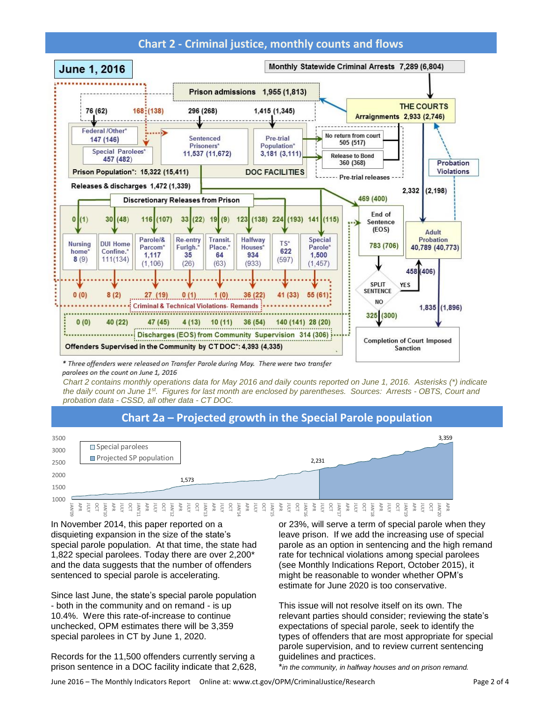# **Chart 2 - Criminal justice, monthly counts and flows**



\* Three offenders were released on Transfer Parole during May. There were two transfer parolees on the count on June 1, 2016

*Chart 2 contains monthly operations data for May 2016 and daily counts reported on June 1, 2016. Asterisks (\*) indicate the daily count on June 1 st . Figures for last month are enclosed by parentheses. Sources: Arrests - OBTS, Court and probation data - CSSD, all other data - CT DOC.*

# **Chart 2a – Projected growth in the Special Parole population**



In November 2014, this paper reported on a disquieting expansion in the size of the state's special parole population. At that time, the state had 1,822 special parolees. Today there are over 2,200\* and the data suggests that the number of offenders sentenced to special parole is accelerating.

Since last June, the state's special parole population - both in the community and on remand - is up 10.4%. Were this rate-of-increase to continue unchecked, OPM estimates there will be 3,359 special parolees in CT by June 1, 2020.

Records for the 11,500 offenders currently serving a prison sentence in a DOC facility indicate that 2,628, or 23%, will serve a term of special parole when they leave prison. If we add the increasing use of special parole as an option in sentencing and the high remand rate for technical violations among special parolees (see Monthly Indications Report, October 2015), it might be reasonable to wonder whether OPM's estimate for June 2020 is too conservative.

This issue will not resolve itself on its own. The relevant parties should consider; reviewing the state's expectations of special parole, seek to identify the types of offenders that are most appropriate for special parole supervision, and to review current sentencing guidelines and practices.

\**in the community, in halfway houses and on prison remand.*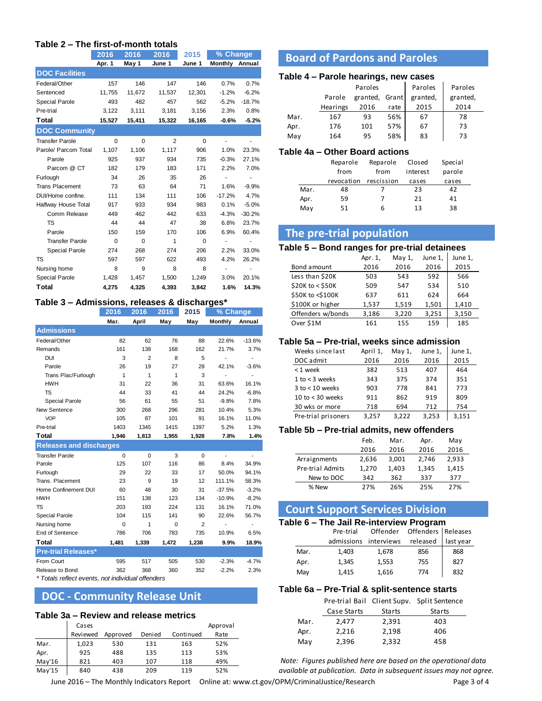#### **Table 2 – The first-of-month totals**

|                        | 2016     | 2016     | 2016           | 2015     | % Change |          |
|------------------------|----------|----------|----------------|----------|----------|----------|
|                        | Apr. 1   | May 1    | June 1         | June 1   | Monthly  | Annual   |
| <b>DOC Facilities</b>  |          |          |                |          |          |          |
| Federal/Other          | 157      | 146      | 147            | 146      | 0.7%     | 0.7%     |
| Sentenced              | 11,755   | 11,672   | 11,537         | 12,301   | $-1.2%$  | $-6.2%$  |
| <b>Special Parole</b>  | 493      | 482      | 457            | 562      | $-5.2%$  | $-18.7%$ |
| Pre-trial              | 3.122    | 3.111    | 3.181          | 3.156    | 2.3%     | 0.8%     |
| Total                  | 15,527   | 15,411   | 15,322         | 16,165   | $-0.6%$  | $-5.2%$  |
| <b>DOC Community</b>   |          |          |                |          |          |          |
| <b>Transfer Parole</b> | $\Omega$ | $\Omega$ | $\overline{2}$ | $\Omega$ |          |          |
| Parole/ Parcom Total   | 1.107    | 1.106    | 1.117          | 906      | 1.0%     | 23.3%    |
| Parole                 | 925      | 937      | 934            | 735      | $-0.3%$  | 27.1%    |
| Parcom @ CT            | 182      | 179      | 183            | 171      | 2.2%     | 7.0%     |
| Furlough               | 34       | 26       | 35             | 26       | ÷,       |          |
| <b>Trans Placement</b> | 73       | 63       | 64             | 71       | 1.6%     | $-9.9%$  |
| DUI/Home confine.      | 111      | 134      | 111            | 106      | $-17.2%$ | 4.7%     |
| Halfway House Total    | 917      | 933      | 934            | 983      | 0.1%     | $-5.0%$  |
| Comm Release           | 449      | 462      | 442            | 633      | $-4.3%$  | $-30.2%$ |
| TS                     | 44       | 44       | 47             | 38       | 6.8%     | 23.7%    |
| Parole                 | 150      | 159      | 170            | 106      | 6.9%     | 60.4%    |
| <b>Transfer Parole</b> | $\Omega$ | $\Omega$ | 1              | $\Omega$ |          |          |
| <b>Special Parole</b>  | 274      | 268      | 274            | 206      | 2.2%     | 33.0%    |
| TS                     | 597      | 597      | 622            | 493      | 4.2%     | 26.2%    |
| Nursing home           | 8        | 9        | 8              | 8        |          |          |
| <b>Special Parole</b>  | 1,428    | 1,457    | 1,500          | 1,249    | 3.0%     | 20.1%    |
| Total                  | 4,275    | 4,325    | 4,393          | 3,842    | 1.6%     | 14.3%    |

#### **Table 3 – Admissions, releases & discharges\***

|       | May                                                             | Monthly        | Annual                   |
|-------|-----------------------------------------------------------------|----------------|--------------------------|
|       |                                                                 |                |                          |
| 76    | 88                                                              | 22.6%          | $-13.6%$                 |
| 168   | 162                                                             | 21.7%          | 3.7%                     |
| 8     | 5                                                               | $\overline{a}$ | $\overline{\phantom{0}}$ |
| 27    | 28                                                              | 42.1%          | $-3.6%$                  |
| 1     | 3                                                               | L,             | $\overline{a}$           |
| 36    | 31                                                              | 63.6%          | 16.1%                    |
| 41    | 44                                                              | 24.2%          | $-6.8%$                  |
| 55    | 51                                                              | $-9.8%$        | 7.8%                     |
| 296   | 281                                                             | 10.4%          | 5.3%                     |
| 101   | 91                                                              | 16.1%          | 11.0%                    |
| 1415  | 1397                                                            | 5.2%           | 1.3%                     |
| 1,955 | 1,928                                                           | 7.8%           | 1.4%                     |
|       |                                                                 |                |                          |
| 3     | $\mathbf 0$                                                     | $\overline{a}$ | $\overline{a}$           |
| 116   | 86                                                              | 8.4%           | 34.9%                    |
| 33    | 17                                                              | 50.0%          | 94.1%                    |
| 19    | 12                                                              | 111.1%         | 58.3%                    |
| 30    | 31                                                              | $-37.5%$       | $-3.2%$                  |
| 123   | 134                                                             | $-10.9%$       | $-8.2%$                  |
| 224   | 131                                                             | 16.1%          | 71.0%                    |
| 141   | 90                                                              | 22.6%          | 56.7%                    |
| 0     | $\overline{2}$                                                  | $\overline{a}$ | $\overline{\phantom{a}}$ |
| 783   | 735                                                             | 10.9%          | 6.5%                     |
| 1,472 | 1,238                                                           | 9.9%           | 18.9%                    |
|       |                                                                 |                |                          |
| 505   | 530                                                             | $-2.3%$        | $-4.7%$                  |
| 360   | 352                                                             | $-2.2%$        | 2.3%                     |
|       | May<br>$*$ Totala raflaat avanta - pat individual affandara $*$ |                |                          |

*\* Totals reflect events, not individual offenders*

# **DOC - Community Release Unit**

#### **Table 3a – Review and release metrics**

|        | Cases    |          |         |           | Approval |
|--------|----------|----------|---------|-----------|----------|
|        | Reviewed | Approved | Deni ed | Continued | Rate     |
| Mar.   | 1,023    | 530      | 131     | 163       | 52%      |
| Apr.   | 925      | 488      | 135     | 113       | 53%      |
| May'16 | 821      | 403      | 107     | 118       | 49%      |
| May'15 | 840      | 438      | 209     | 119       | 52%      |

# **Board of Pardons and Paroles**

#### **Table 4 – Parole hearings, new cases**

|      |          | Paroles        |      |          | Paroles  |
|------|----------|----------------|------|----------|----------|
|      | Parole   | granted, Grant |      | granted, | granted. |
|      | Hearings | 2016           | rate | 2015     | 2014     |
| Mar. | 167      | 93             | 56%  | 67       | 78       |
| Apr. | 176      | 101            | 57%  | 67       | 73       |
| May  | 164      | 95             | 58%  | 83       | 73       |

#### **Table 4a – Other Board actions**

|      | Reparole   | Reparole   | Closed   | Special |
|------|------------|------------|----------|---------|
|      | from       | from       | interest | parole  |
|      | revocation | rescission | cases    | cases   |
| Mar. | 48         |            | 23       | 42      |
| Apr. | 59         |            | 21       | 41      |
| May  | 51         | 6          | 13       | 38      |

## **The pre-trial population**

#### **Table 5 – Bond ranges for pre-trial detainees**

|                   | Apr. 1, | May $1$ , | June 1, | June 1, |
|-------------------|---------|-----------|---------|---------|
| Bond amount       | 2016    | 2016      | 2016    | 2015    |
| Less than \$20K   | 503     | 543       | 592     | 566     |
| \$20K to < \$50K  | 509     | 547       | 534     | 510     |
| \$50K to <\$100K  | 637     | 611       | 624     | 664     |
| \$100K or higher  | 1,537   | 1,519     | 1,501   | 1,410   |
| Offenders w/bonds | 3,186   | 3,220     | 3,251   | 3,150   |
| Over \$1M         | 161     | 155       | 159     | 185     |

#### **Table 5a – Pre-trial, weeks since admission**

| Weeks since last    | April 1, | May $1$ , | June 1, | June 1, |
|---------------------|----------|-----------|---------|---------|
| DOC admit           | 2016     | 2016      | 2016    | 2015    |
| $<$ 1 week          | 382      | 513       | 407     | 464     |
| 1 to $<$ 3 weeks    | 343      | 375       | 374     | 351     |
| $3$ to $<$ 10 weeks | 903      | 778       | 841     | 773     |
| 10 to $<$ 30 weeks  | 911      | 862       | 919     | 809     |
| 30 wks or more      | 718      | 694       | 712     | 754     |
| Pre-trial prisoners | 3,257    | 3.222     | 3.253   | 3.151   |
|                     |          |           |         |         |

#### **Table 5b – Pre-trial admits, new offenders**

| Feb.  | Mar.  | Apr.  | May   |
|-------|-------|-------|-------|
| 2016  | 2016  | 2016  | 2016  |
| 2,636 | 3,001 | 2,746 | 2,933 |
| 1,270 | 1,403 | 1.345 | 1,415 |
| 342   | 362   | 337   | 377   |
| 27%   | 26%   | 25%   | 27%   |
|       |       |       |       |

## **Court Support Services Division**

#### **Table 6 – The Jail Re-interview Program**

|      | Pre-trial             |       | Offender Offenders Releases |           |
|------|-----------------------|-------|-----------------------------|-----------|
|      | admissions interviews |       | released                    | last year |
| Mar. | 1,403                 | 1,678 | 856                         | 868       |
| Apr. | 1,345                 | 1,553 | 755                         | 827       |
| May  | 1,415                 | 1,616 | 774                         | 832       |

#### **Table 6a – Pre-Trial & split-sentence starts**

|      |             |               | Pre-trial Bail Client Supv. Split Sentence |
|------|-------------|---------------|--------------------------------------------|
|      | Case Starts | <b>Starts</b> | <b>Starts</b>                              |
| Mar. | 2,477       | 2,391         | 403                                        |
| Apr. | 2,216       | 2,198         | 406                                        |
| May  | 2,396       | 2,332         | 458                                        |

*Note: Figures published here are based on the operational data available at publication. Data in subsequent issues may not agree.*

June 2016 – The Monthly Indicators Report Online at: www.ct.gov/OPM/CriminalJustice/Research Page 3 of 4